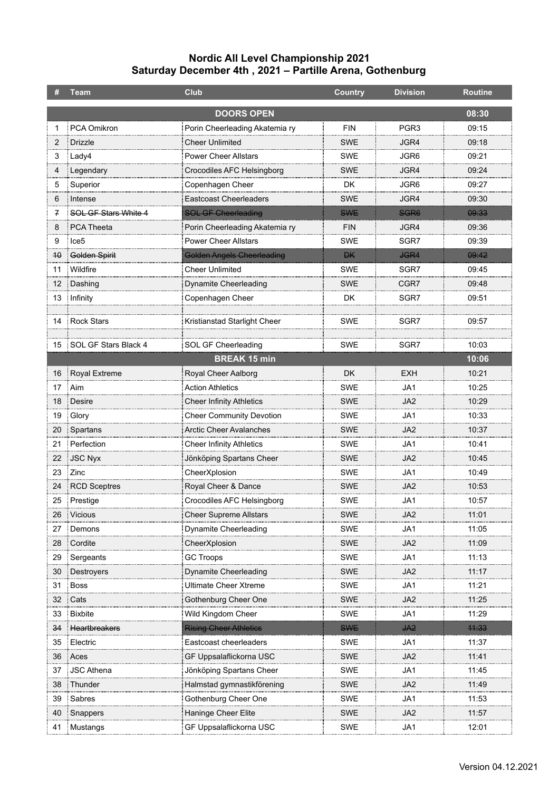|                   | Team                           | <b>Club</b>                       | <b>Country</b> | <b>Division</b>  | <b>Routine</b> |  |
|-------------------|--------------------------------|-----------------------------------|----------------|------------------|----------------|--|
|                   | <b>DOORS OPEN</b><br>08:30     |                                   |                |                  |                |  |
| 1                 | PCA Omikron                    | Porin Cheerleading Akatemia ry    | <b>FIN</b>     | PGR <sub>3</sub> | 09:15          |  |
| 2                 | <b>Drizzle</b>                 | <b>Cheer Unlimited</b>            | SWE            | JGR4             | 09:18          |  |
| 3                 | Lady4                          | <b>Power Cheer Allstars</b>       | <b>SWE</b>     | JGR6             | 09:21          |  |
| 4                 | Legendary                      | Crocodiles AFC Helsingborg        | SWE            | JGR4             | 09:24          |  |
| 5                 | Superior                       | Copenhagen Cheer                  | DK.            | JGR <sub>6</sub> | 09:27          |  |
| 6                 | Intense                        | <b>Eastcoast Cheerleaders</b>     | SWE            | JGR4             | 09:30          |  |
| 7                 | SOL GF Stars White 4           | <b>SOL GF Cheerleading</b>        | <b>SWE</b>     | SGR <sub>6</sub> | 09:33          |  |
| 8                 | <b>PCA Theeta</b>              | Porin Cheerleading Akatemia ry    | <b>FIN</b>     | JGR4             | 09:36          |  |
| 9                 | Ice <sub>5</sub>               | <b>Power Cheer Allstars</b>       | <b>SWE</b>     | SGR7             | 09:39          |  |
| 40                | Golden Spirit                  | <b>Golden Angels Cheerleading</b> | <b>DK</b>      | <b>JGR4</b>      | 09:42          |  |
| 11                | : Wildfire                     | <b>Cheer Unlimited</b>            | SWE            | SGR7             | 09:45          |  |
| $12 \overline{ }$ | Dashing                        | Dynamite Cheerleading             | SWE            | CGR7             | 09:48          |  |
| 13                | Infinity                       | Copenhagen Cheer                  | DK.            | SGR7             | 09:51          |  |
|                   |                                |                                   |                |                  |                |  |
| 14                | Rock Stars                     | Kristianstad Starlight Cheer      | <b>SWE</b>     | SGR7             | 09:57          |  |
|                   | 15 <b>SOL GF Stars Black 4</b> | SOL GF Cheerleading               | SWE            | SGR7             | 10:03          |  |
|                   |                                | <b>BREAK 15 min</b>               |                |                  | 10:06          |  |
|                   | 16 Royal Extreme               | Royal Cheer Aalborg               | DK.            | EXH              | 10:21          |  |
|                   | 17 Aim                         | <b>Action Athletics</b>           | SWE            | JA1              | 10:25          |  |
| 18                | Desire                         | <b>Cheer Infinity Athletics</b>   | SWE            | JA <sub>2</sub>  | 10:29          |  |
| 19                | Glory                          | <b>Cheer Community Devotion</b>   | <b>SWE</b>     | JA1              | 10:33          |  |
|                   | 20 Spartans                    | Arctic Cheer Avalanches           | <b>SWE</b>     | JA <sub>2</sub>  | 10:37          |  |
| 21                | Perfection                     | <b>Cheer Infinity Athletics</b>   | SWE            | JA1              | 10:41          |  |
| 22                | : JSC Nyx                      | Jönköping Spartans Cheer          | <b>SWE</b>     | JA2              | 10:45          |  |
| 23                | : Zinc                         | CheerXplosion                     | <b>SWE</b>     | JA1              | 10:49          |  |
| 24                | RCD Sceptres                   | Royal Cheer & Dance               | SWE            | JA <sub>2</sub>  | 10:53          |  |
| 25                | Prestige                       | Crocodiles AFC Helsingborg        | SWE            | JA1              | 10:57          |  |
|                   | 26 Vicious                     | <b>Cheer Supreme Allstars</b>     | SWE            | JA2              | 11:01          |  |
| 27                | Demons                         | Dynamite Cheerleading             | SWE            | JA1              | 11:05          |  |
| 28                | Cordite                        | CheerXplosion                     | <b>SWE</b>     | JA2              | 11:09          |  |
| 29                | Sergeants                      | <b>GC Troops</b>                  | <b>SWE</b>     | JA1              | 11:13          |  |
| 30                | <b>Destroyers</b>              | Dynamite Cheerleading             | <b>SWE</b>     | JA <sub>2</sub>  | 11:17          |  |
| 31                | <b>Boss</b>                    | Ultimate Cheer Xtreme             | <b>SWE</b>     | JA1              | 11:21          |  |
| 32                | Cats                           | Gothenburg Cheer One              | <b>SWE</b>     | JA <sub>2</sub>  | 11:25          |  |
| 33                | <b>Bixbite</b>                 | Wild Kingdom Cheer                | <b>SWE</b>     | JA1              | 11:29          |  |
| 34                | Heartbreakers                  | <b>Rising Cheer Athletics</b>     | <b>SWE</b>     | J <sub>A2</sub>  | 44:33          |  |
| 35                | Electric                       | Eastcoast cheerleaders            | SWE            | JA1              | 11:37          |  |
| 36                | Aces                           | GF Uppsalaflickorna USC           | <b>SWE</b>     | JA <sub>2</sub>  | 11:41          |  |
| 37                | <b>JSC Athena</b>              | Jönköping Spartans Cheer          | <b>SWE</b>     | JA1              | 11:45          |  |
| 38                | Thunder                        | Halmstad gymnastikförening        | <b>SWE</b>     | JA <sub>2</sub>  | 11:49          |  |
| 39                | Sabres                         | Gothenburg Cheer One              | SWE            | JA1              | 11:53          |  |
| 40                | Snappers                       | Haninge Cheer Elite               | <b>SWE</b>     | JA2              | 11:57          |  |
| 41                | Mustangs                       | GF Uppsalaflickorna USC           | SWE            | JA1              | 12:01          |  |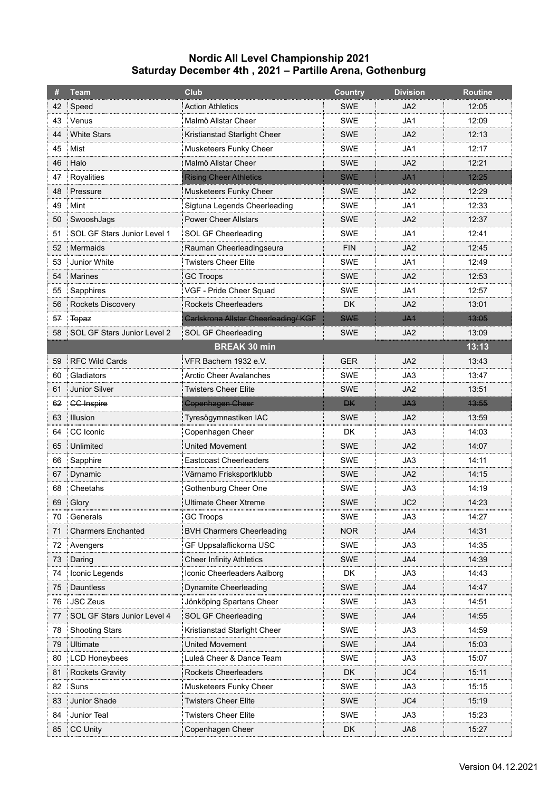|    | <b>Team</b>                    | <b>Club</b>                         | <b>Country</b> | <b>Division</b> | <b>Routine</b> |
|----|--------------------------------|-------------------------------------|----------------|-----------------|----------------|
| 42 | Speed                          | <b>Action Athletics</b>             | SWE            | JA2             | 12:05          |
| 43 | Venus                          | Malmö Allstar Cheer                 | <b>SWE</b>     | JA1             | 12:09          |
| 44 | White Stars                    | Kristianstad Starlight Cheer        | <b>SWE</b>     | JA2             | 12:13          |
|    | 45 Mist                        | Musketeers Funky Cheer              | <b>SWE</b>     | JA1             | 12:17          |
| 46 | : Halo                         | Malmö Allstar Cheer                 | <b>SWE</b>     | JA2             | 12:21          |
| 47 | Royalities                     | <b>Rising Cheer Athletics</b>       | <b>SWE</b>     | JA1             | 12:25          |
| 48 | : Pressure                     | Musketeers Funky Cheer              | <b>SWE</b>     | JA2             | 12:29          |
| 49 | Mint                           | Sigtuna Legends Cheerleading        | <b>SWE</b>     | JA1             | 12:33          |
| 50 | SwooshJags                     | <b>Power Cheer Allstars</b>         | <b>SWE</b>     | JA2             | 12:37          |
| 51 | SOL GF Stars Junior Level 1    | SOL GF Cheerleading                 | <b>SWE</b>     | JA1             | 12:41          |
| 52 | : Mermaids                     | Rauman Cheerleadingseura            | <b>FIN</b>     | JA2             | 12:45          |
| 53 | Junior White                   | <b>Twisters Cheer Elite</b>         | <b>SWE</b>     | JA1             | 12:49          |
| 54 | : Marines                      | <b>GC Troops</b>                    | SWE            | JA2             | 12:53          |
| 55 | Sapphires                      | VGF - Pride Cheer Squad             | <b>SWE</b>     | JA1             | 12:57          |
| 56 | Rockets Discovery              | <b>Rockets Cheerleaders</b>         | DK             | JA2             | 13:01          |
|    | 57 Topaz                       | Carlskrona Allstar Cheerleading/KGF | <b>SWE</b>     | J <sub>A1</sub> | 43:05          |
|    | 58 SOL GF Stars Junior Level 2 | SOL GF Cheerleading                 | SWE            | JA2             | 13:09          |
|    |                                | <b>BREAK 30 min</b>                 |                |                 | 13:13          |
| 59 | RFC Wild Cards                 | VFR Bachem 1932 e.V.                | <b>GER</b>     | JA <sub>2</sub> | 13:43          |
| 60 | Gladiators                     | Arctic Cheer Avalanches             | <b>SWE</b>     | JA3             | 13:47          |
| 61 | <b>Junior Silver</b>           | Twisters Cheer Elite                | SWE            | JA2             | 13:51          |
| 62 | <b>CC Inspire</b>              | <b>Copenhagen Cheer</b>             | <b>DK</b>      | $443$           | 43:55          |
| 63 | Illusion                       | Tyresögymnastiken IAC               | <b>SWE</b>     | JA <sub>2</sub> | 13:59          |
| 64 | CC Iconic                      | Copenhagen Cheer                    | DK             | JA3             | 14:03          |
| 65 | Unlimited                      | <b>United Movement</b>              | <b>SWE</b>     | JA2             | 14:07          |
| 66 | Sapphire                       | <b>Eastcoast Cheerleaders</b>       | <b>SWE</b>     | JA3             | 14:11          |
|    | 67 Dynamic                     | Värnamo Frisksportklubb             | <b>SWE</b>     | JA2             | 14:15          |
| 68 | Cheetahs                       | Gothenburg Cheer One                | <b>SWE</b>     | JA3             | 14:19          |
|    | 69 Glory                       | <b>Ultimate Cheer Xtreme</b>        | <b>SWE</b>     | JC2             | 14:23          |
| 70 | : Generals                     | GC Troops                           | SWE            | JA3             | 14:27          |
| 71 | Charmers Enchanted             | <b>BVH Charmers Cheerleading</b>    | <b>NOR</b>     | JA4             | 14:31          |
| 72 | <b>Avengers</b>                | GF Uppsalaflickorna USC             | <b>SWE</b>     | JA3             | 14:35          |
| 73 | : Daring                       | <b>Cheer Infinity Athletics</b>     | <b>SWE</b>     | JA4             | 14:39          |
| 74 | Iconic Legends                 | Iconic Cheerleaders Aalborg         | DK.            | JA3             | 14:43          |
| 75 | <b>Dauntless</b>               | Dynamite Cheerleading               | <b>SWE</b>     | JA4             | 14:47          |
| 76 | JSC Zeus                       | Jönköping Spartans Cheer            | <b>SWE</b>     | JA3             | 14:51          |
|    | 77 SOL GF Stars Junior Level 4 | SOL GF Cheerleading                 | <b>SWE</b>     | JA4             | 14:55          |
| 78 | <b>Shooting Stars</b>          | Kristianstad Starlight Cheer        | <b>SWE</b>     | JA3             | 14:59          |
| 79 | Ultimate                       | United Movement                     | <b>SWE</b>     | JA4             | 15:03          |
| 80 | LCD Honeybees                  | Luleå Cheer & Dance Team            | <b>SWE</b>     | JA3             | 15:07          |
| 81 | Rockets Gravity                | Rockets Cheerleaders                | DK.            | JC4             | 15:11          |
| 82 | Suns                           | Musketeers Funky Cheer              | SWE            | JA3             | 15:15          |
| 83 | Junior Shade                   | Twisters Cheer Elite                | SWE            | JC4             | 15:19          |
| 84 | Junior Teal                    | Twisters Cheer Elite                | SWE            | JA3             | 15:23          |
|    | 85 CC Unity                    | Copenhagen Cheer                    | DK             | JA6             | 15:27          |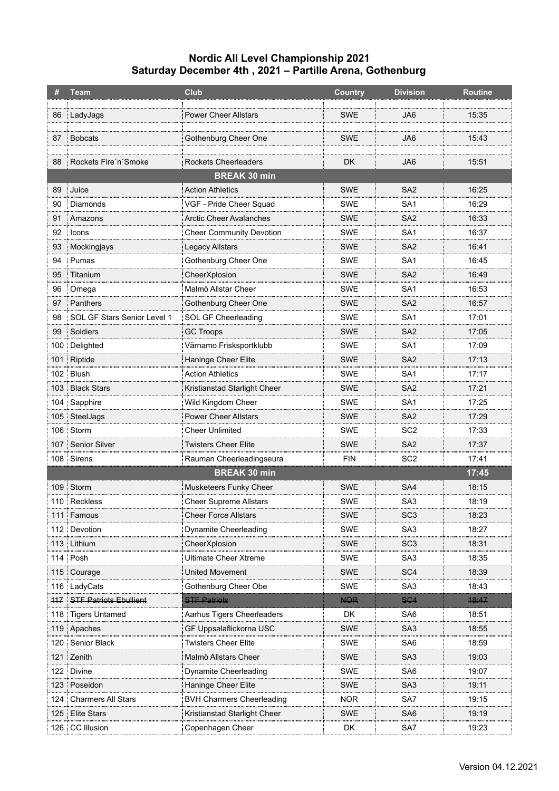|     | <b>Team</b>                         | Club                                    | <b>Country</b> | <b>Division</b> | <b>Routine</b> |
|-----|-------------------------------------|-----------------------------------------|----------------|-----------------|----------------|
| 86  | LadyJags                            | <b>Power Cheer Allstars</b>             | <b>SWE</b>     | JA6             | 15:35          |
|     |                                     |                                         |                |                 |                |
| 87  | Bobcats                             | Gothenburg Cheer One                    | <b>SWE</b>     | JA6             | 15:43          |
|     |                                     | <b>Rockets Cheerleaders</b>             |                |                 |                |
| 88  | Rockets Fire'n'Smoke                | <b>BREAK 30 min</b>                     | DK             | JA6             | 15:51          |
| 89  | Juice                               | <b>Action Athletics</b>                 | <b>SWE</b>     | SA <sub>2</sub> | 16:25          |
| 90  | Diamonds                            | VGF - Pride Cheer Squad                 | <b>SWE</b>     | SA <sub>1</sub> | 16:29          |
| 91  | : Amazons                           | Arctic Cheer Avalanches                 | SWE            | SA <sub>2</sub> | 16:33          |
| 92  | : Icons                             | <b>Cheer Community Devotion</b>         | <b>SWE</b>     | SA <sub>1</sub> | 16:37          |
| 93  | Mockingjays                         |                                         | <b>SWE</b>     | SA <sub>2</sub> | 16:41          |
| 94  | Pumas                               | Legacy Allstars<br>Gothenburg Cheer One | <b>SWE</b>     | SA <sub>1</sub> | 16:45          |
|     |                                     |                                         | <b>SWE</b>     | SA <sub>2</sub> |                |
| 95  | Titanium                            | CheerXplosion                           | <b>SWE</b>     | SA <sub>1</sub> | 16:49          |
| 96  | Omega                               | Malmö Allstar Cheer                     |                |                 | 16:53          |
| 97  | Panthers                            | Gothenburg Cheer One                    | <b>SWE</b>     | SA <sub>2</sub> | 16:57          |
| 98  | SOL GF Stars Senior Level 1         | SOL GF Cheerleading                     | <b>SWE</b>     | SA <sub>1</sub> | 17:01          |
| 99  | Soldiers                            | <b>GC Troops</b>                        | SWE            | SA <sub>2</sub> | 17:05          |
| 100 | Delighted                           | Värnamo Frisksportklubb                 | <b>SWE</b>     | SA <sub>1</sub> | 17:09          |
|     | 101 Riptide                         | Haninge Cheer Elite                     | <b>SWE</b>     | SA <sub>2</sub> | 17:13          |
|     | 102 Blush                           | <b>Action Athletics</b>                 | <b>SWE</b>     | SA <sub>1</sub> | 17:17          |
|     | 103 Black Stars                     | Kristianstad Starlight Cheer            | SWE            | SA <sub>2</sub> | 17:21          |
|     | 104   Sapphire                      | Wild Kingdom Cheer                      | <b>SWE</b>     | SA <sub>1</sub> | 17:25          |
|     | 105 SteelJags                       | <b>Power Cheer Allstars</b>             | <b>SWE</b>     | SA <sub>2</sub> | 17:29          |
|     | 106 Storm                           | Cheer Unlimited                         | <b>SWE</b>     | SC <sub>2</sub> | 17:33          |
|     | 107 Senior Silver                   | <b>Twisters Cheer Elite</b>             | <b>SWE</b>     | SA <sub>2</sub> | 17:37          |
|     | 108 Sirens                          | Rauman Cheerleadingseura                | <b>FIN</b>     | SC <sub>2</sub> | 17:41          |
|     |                                     | <b>BREAK 30 min</b>                     |                |                 | 17:45          |
|     | 109 Storm                           | Musketeers Funky Cheer                  | <b>SWE</b>     | SA4             | 18:15          |
|     | 110 Reckless                        | <b>Cheer Supreme Allstars</b>           | <b>SWE</b>     | SA <sub>3</sub> | 18:19          |
|     | 111 Famous                          | <b>Cheer Force Allstars</b>             | SWE            | SC <sub>3</sub> | 18:23          |
|     | 112 Devotion                        | Dynamite Cheerleading                   | SWE            | SA3             | 18:27          |
|     | 113 : Lithium                       | CheerXplosion                           | <b>SWE</b>     | SC <sub>3</sub> | 18:31          |
|     | $114$ Posh                          | <b>Ultimate Cheer Xtreme</b>            | <b>SWE</b>     | SA3             | 18:35          |
|     | 115 Courage                         | United Movement                         | <b>SWE</b>     | SC <sub>4</sub> | 18:39          |
|     | 116   LadyCats                      | Gothenburg Cheer Obe                    | SWE            | SA3             | 18:43          |
|     | <b>117   STF Patriots Ebullient</b> | <b>STF Patriots</b>                     | <b>NOR</b>     | S <sub>G4</sub> | 48:47          |
|     | 118 Tigers Untamed                  | Aarhus Tigers Cheerleaders              | DK.            | SA <sub>6</sub> | 18:51          |
|     | 119 Apaches                         | GF Uppsalaflickorna USC                 | <b>SWE</b>     | SA <sub>3</sub> | 18:55          |
|     | 120 Senior Black                    | Twisters Cheer Elite                    | <b>SWE</b>     | SA6             | 18:59          |
|     | 121 Zenith                          | Malmö Allstars Cheer                    | <b>SWE</b>     | SA <sub>3</sub> | 19:03          |
|     | 122 Divine                          | Dynamite Cheerleading                   | <b>SWE</b>     | SA6             | 19:07          |
|     | 123 Poseidon                        | Haninge Cheer Elite                     | SWE            | SA <sub>3</sub> | 19:11          |
|     | 124   Charmers All Stars            | <b>BVH Charmers Cheerleading</b>        | <b>NOR</b>     | SA7             | 19:15          |
|     | 125 Elite Stars                     | Kristianstad Starlight Cheer            | SWE            | SA6             | 19:19          |
|     |                                     |                                         |                |                 |                |
|     | 126 CC Illusion                     | Copenhagen Cheer                        | DK             | SA7             | 19:23          |